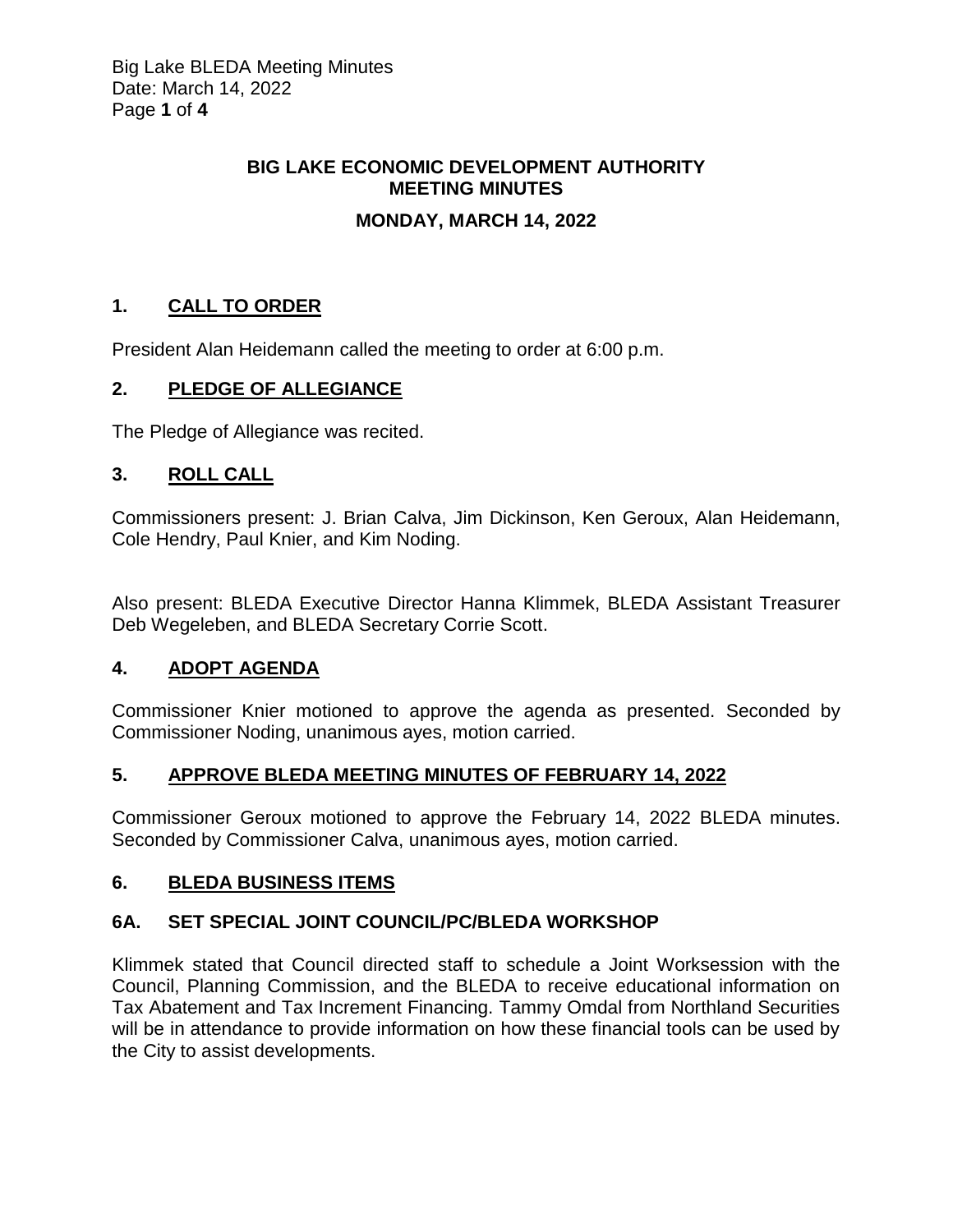# **BIG LAKE ECONOMIC DEVELOPMENT AUTHORITY MEETING MINUTES**

## **MONDAY, MARCH 14, 2022**

# **1. CALL TO ORDER**

President Alan Heidemann called the meeting to order at 6:00 p.m.

### **2. PLEDGE OF ALLEGIANCE**

The Pledge of Allegiance was recited.

### **3. ROLL CALL**

Commissioners present: J. Brian Calva, Jim Dickinson, Ken Geroux, Alan Heidemann, Cole Hendry, Paul Knier, and Kim Noding.

Also present: BLEDA Executive Director Hanna Klimmek, BLEDA Assistant Treasurer Deb Wegeleben, and BLEDA Secretary Corrie Scott.

### **4. ADOPT AGENDA**

Commissioner Knier motioned to approve the agenda as presented. Seconded by Commissioner Noding, unanimous ayes, motion carried.

### **5. APPROVE BLEDA MEETING MINUTES OF FEBRUARY 14, 2022**

Commissioner Geroux motioned to approve the February 14, 2022 BLEDA minutes. Seconded by Commissioner Calva, unanimous ayes, motion carried.

### **6. BLEDA BUSINESS ITEMS**

### **6A. SET SPECIAL JOINT COUNCIL/PC/BLEDA WORKSHOP**

Klimmek stated that Council directed staff to schedule a Joint Worksession with the Council, Planning Commission, and the BLEDA to receive educational information on Tax Abatement and Tax Increment Financing. Tammy Omdal from Northland Securities will be in attendance to provide information on how these financial tools can be used by the City to assist developments.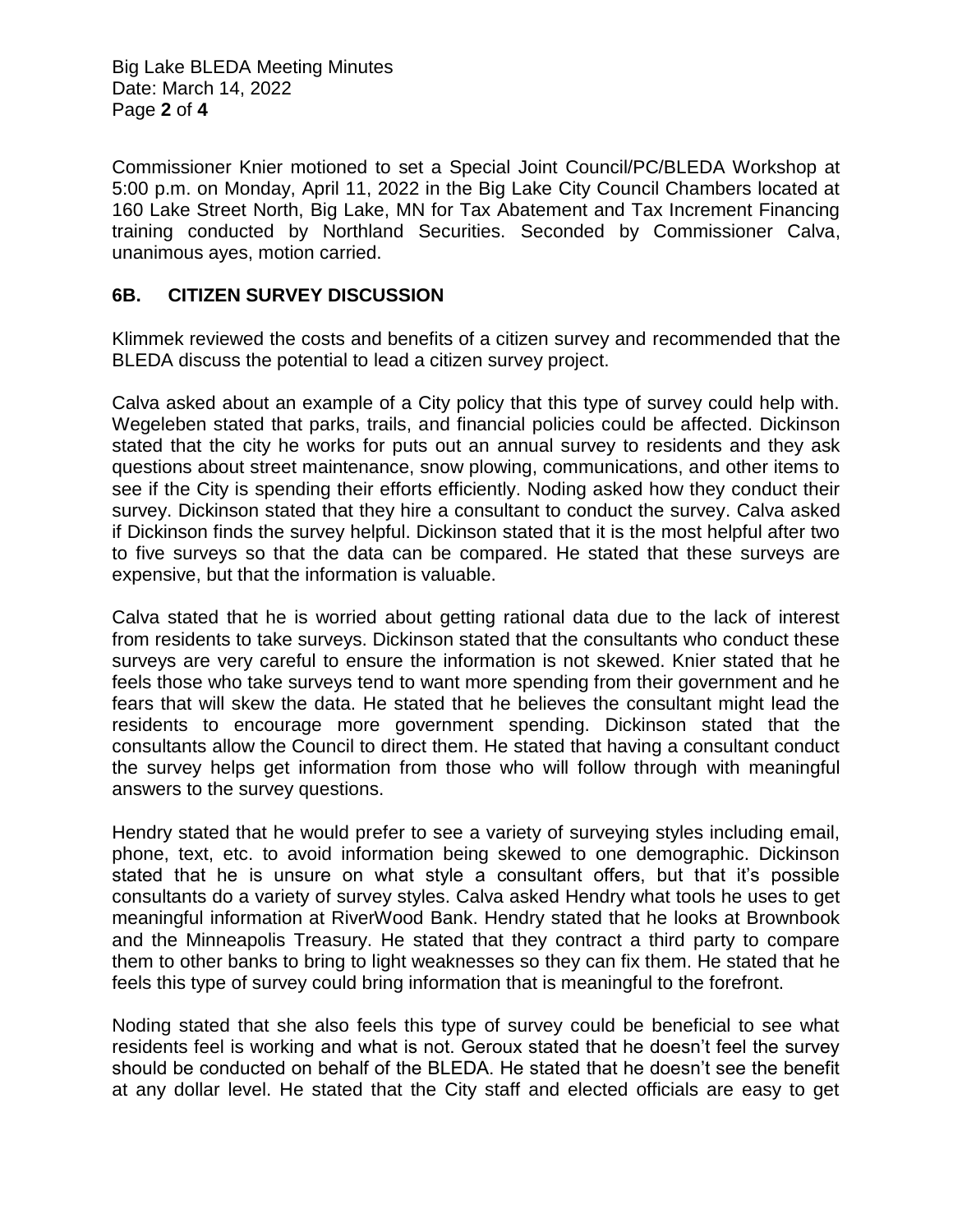Big Lake BLEDA Meeting Minutes Date: March 14, 2022 Page **2** of **4**

Commissioner Knier motioned to set a Special Joint Council/PC/BLEDA Workshop at 5:00 p.m. on Monday, April 11, 2022 in the Big Lake City Council Chambers located at 160 Lake Street North, Big Lake, MN for Tax Abatement and Tax Increment Financing training conducted by Northland Securities. Seconded by Commissioner Calva, unanimous ayes, motion carried.

#### **6B. CITIZEN SURVEY DISCUSSION**

Klimmek reviewed the costs and benefits of a citizen survey and recommended that the BLEDA discuss the potential to lead a citizen survey project.

Calva asked about an example of a City policy that this type of survey could help with. Wegeleben stated that parks, trails, and financial policies could be affected. Dickinson stated that the city he works for puts out an annual survey to residents and they ask questions about street maintenance, snow plowing, communications, and other items to see if the City is spending their efforts efficiently. Noding asked how they conduct their survey. Dickinson stated that they hire a consultant to conduct the survey. Calva asked if Dickinson finds the survey helpful. Dickinson stated that it is the most helpful after two to five surveys so that the data can be compared. He stated that these surveys are expensive, but that the information is valuable.

Calva stated that he is worried about getting rational data due to the lack of interest from residents to take surveys. Dickinson stated that the consultants who conduct these surveys are very careful to ensure the information is not skewed. Knier stated that he feels those who take surveys tend to want more spending from their government and he fears that will skew the data. He stated that he believes the consultant might lead the residents to encourage more government spending. Dickinson stated that the consultants allow the Council to direct them. He stated that having a consultant conduct the survey helps get information from those who will follow through with meaningful answers to the survey questions.

Hendry stated that he would prefer to see a variety of surveying styles including email, phone, text, etc. to avoid information being skewed to one demographic. Dickinson stated that he is unsure on what style a consultant offers, but that it's possible consultants do a variety of survey styles. Calva asked Hendry what tools he uses to get meaningful information at RiverWood Bank. Hendry stated that he looks at Brownbook and the Minneapolis Treasury. He stated that they contract a third party to compare them to other banks to bring to light weaknesses so they can fix them. He stated that he feels this type of survey could bring information that is meaningful to the forefront.

Noding stated that she also feels this type of survey could be beneficial to see what residents feel is working and what is not. Geroux stated that he doesn't feel the survey should be conducted on behalf of the BLEDA. He stated that he doesn't see the benefit at any dollar level. He stated that the City staff and elected officials are easy to get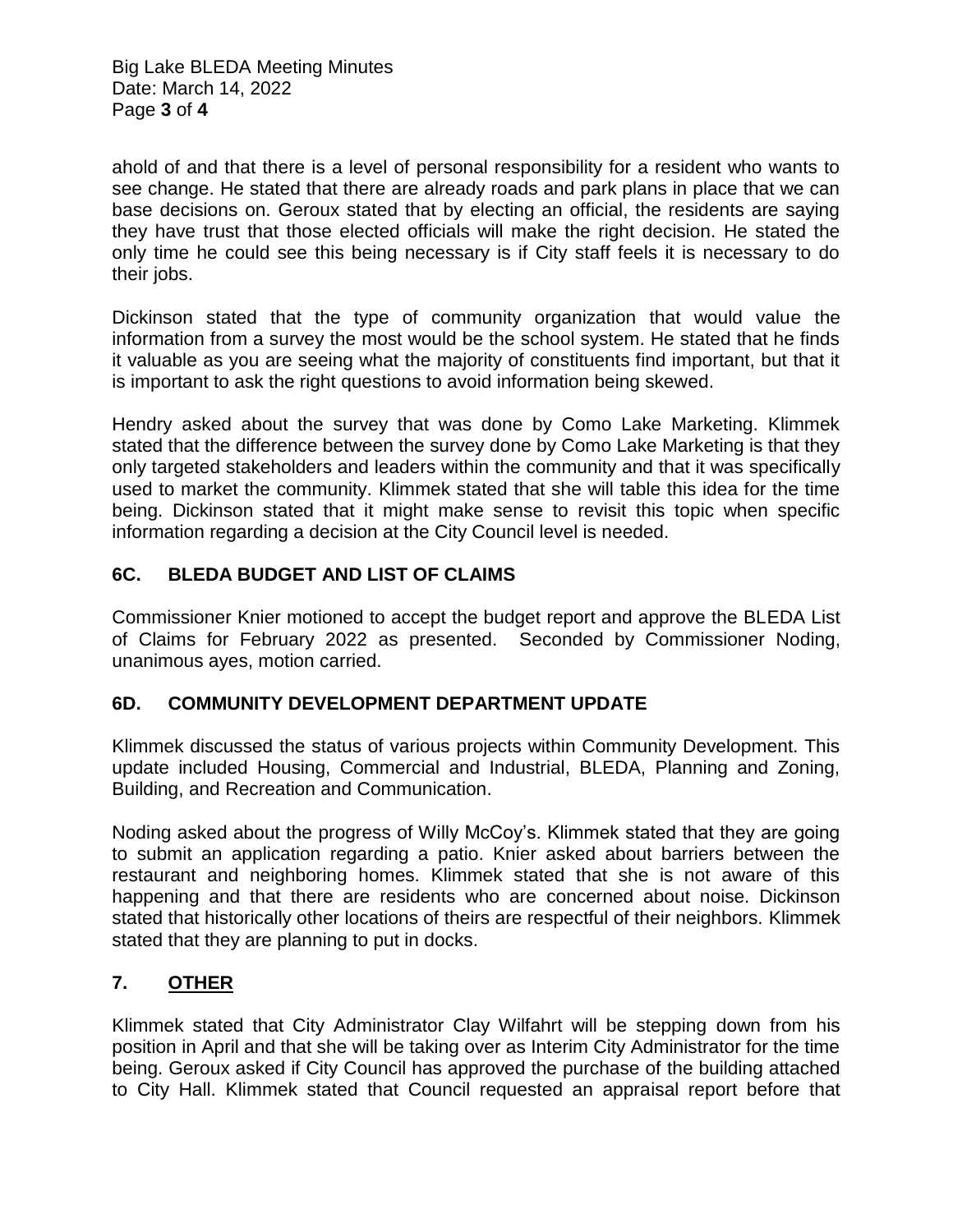Big Lake BLEDA Meeting Minutes Date: March 14, 2022 Page **3** of **4**

ahold of and that there is a level of personal responsibility for a resident who wants to see change. He stated that there are already roads and park plans in place that we can base decisions on. Geroux stated that by electing an official, the residents are saying they have trust that those elected officials will make the right decision. He stated the only time he could see this being necessary is if City staff feels it is necessary to do their jobs.

Dickinson stated that the type of community organization that would value the information from a survey the most would be the school system. He stated that he finds it valuable as you are seeing what the majority of constituents find important, but that it is important to ask the right questions to avoid information being skewed.

Hendry asked about the survey that was done by Como Lake Marketing. Klimmek stated that the difference between the survey done by Como Lake Marketing is that they only targeted stakeholders and leaders within the community and that it was specifically used to market the community. Klimmek stated that she will table this idea for the time being. Dickinson stated that it might make sense to revisit this topic when specific information regarding a decision at the City Council level is needed.

## **6C. BLEDA BUDGET AND LIST OF CLAIMS**

Commissioner Knier motioned to accept the budget report and approve the BLEDA List of Claims for February 2022 as presented. Seconded by Commissioner Noding, unanimous ayes, motion carried.

### **6D. COMMUNITY DEVELOPMENT DEPARTMENT UPDATE**

Klimmek discussed the status of various projects within Community Development. This update included Housing, Commercial and Industrial, BLEDA, Planning and Zoning, Building, and Recreation and Communication.

Noding asked about the progress of Willy McCoy's. Klimmek stated that they are going to submit an application regarding a patio. Knier asked about barriers between the restaurant and neighboring homes. Klimmek stated that she is not aware of this happening and that there are residents who are concerned about noise. Dickinson stated that historically other locations of theirs are respectful of their neighbors. Klimmek stated that they are planning to put in docks.

### **7. OTHER**

Klimmek stated that City Administrator Clay Wilfahrt will be stepping down from his position in April and that she will be taking over as Interim City Administrator for the time being. Geroux asked if City Council has approved the purchase of the building attached to City Hall. Klimmek stated that Council requested an appraisal report before that